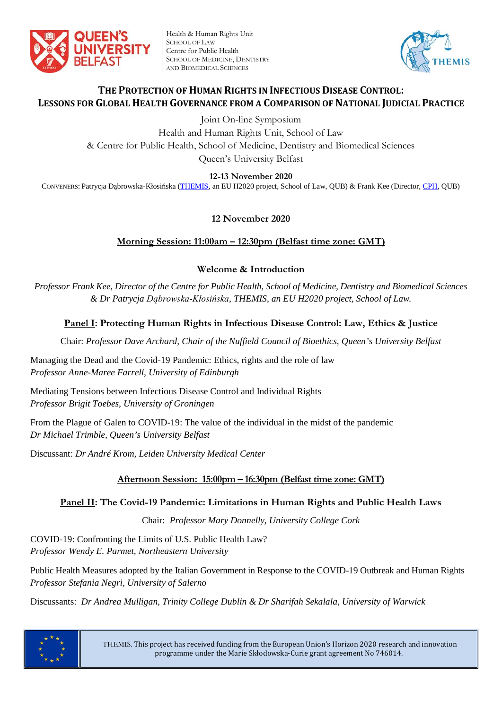

Health & Human Rights Unit SCHOOL OF LAW Centre for Public Health SCHOOL OF MEDICINE, DENTISTRY AND BIOMEDICAL SCIENCES



## **THE PROTECTION OF HUMAN RIGHTS IN INFECTIOUS DISEASE CONTROL: LESSONS FOR GLOBAL HEALTH GOVERNANCE FROM A COMPARISON OF NATIONAL JUDICIAL PRACTICE**

Joint On-line Symposium

Health and Human Rights Unit, School of Law & Centre for Public Health, School of Medicine, Dentistry and Biomedical Sciences Queen's University Belfast

**12-13 November 2020**

CONVENERS: Patrycja Dąbrowska-Kłosińska [\(THEMIS,](http://law.qub.ac.uk/schools/SchoolofLaw/research/research-projects/project-sites/themis-project/) an EU H2020 project, School of Law, QUB) & Frank Kee (Director, [CPH,](https://www.qub.ac.uk/research-centres/CentreforPublicHealth/) QUB)

# **12 November 2020**

## **Morning Session: 11:00am – 12:30pm (Belfast time zone: GMT)**

## **Welcome & Introduction**

*Professor Frank Kee, Director of the Centre for Public Health, School of Medicine, Dentistry and Biomedical Sciences & Dr Patrycja Dąbrowska-Kłosińska, THEMIS, an EU H2020 project, School of Law.*

# **Panel I: Protecting Human Rights in Infectious Disease Control: Law, Ethics & Justice**

Chair: *Professor Dave Archard, Chair of the Nuffield Council of Bioethics, Queen's University Belfast*

Managing the Dead and the Covid-19 Pandemic: Ethics, rights and the role of law *Professor Anne-Maree Farrell, University of Edinburgh*

Mediating Tensions between Infectious Disease Control and Individual Rights *Professor Brigit Toebes, University of Groningen*

From the Plague of Galen to COVID-19: The value of the individual in the midst of the pandemic *Dr Michael Trimble, Queen's University Belfast*

Discussant: *Dr André Krom, Leiden University Medical Center*

## **Afternoon Session: 15:00pm – 16:30pm (Belfast time zone: GMT)**

## **Panel II: The Covid-19 Pandemic: Limitations in Human Rights and Public Health Laws**

Chair: *Professor Mary Donnelly, University College Cork*

COVID-19: Confronting the Limits of U.S. Public Health Law? *Professor Wendy E. Parmet, Northeastern University*

Public Health Measures adopted by the Italian Government in Response to the COVID-19 Outbreak and Human Rights *Professor Stefania Negri, University of Salerno*

Discussants: *Dr Andrea Mulligan, Trinity College Dublin & Dr Sharifah Sekalala, University of Warwick*